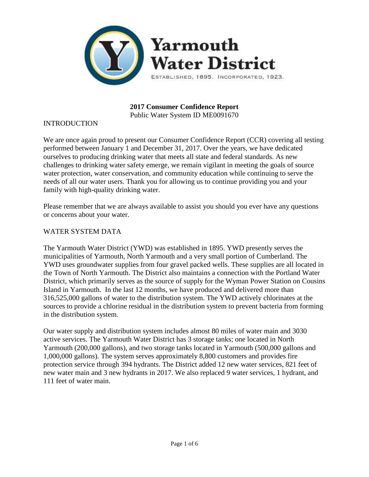

**2017 Consumer Confidence Report** Public Water System ID ME0091670

#### INTRODUCTION

We are once again proud to present our Consumer Confidence Report (CCR) covering all testing performed between January 1 and December 31, 2017. Over the years, we have dedicated ourselves to producing drinking water that meets all state and federal standards. As new challenges to drinking water safety emerge, we remain vigilant in meeting the goals of source water protection, water conservation, and community education while continuing to serve the needs of all our water users. Thank you for allowing us to continue providing you and your family with high-quality drinking water.

Please remember that we are always available to assist you should you ever have any questions or concerns about your water.

#### WATER SYSTEM DATA

The Yarmouth Water District (YWD) was established in 1895. YWD presently serves the municipalities of Yarmouth, North Yarmouth and a very small portion of Cumberland. The YWD uses groundwater supplies from four gravel packed wells. These supplies are all located in the Town of North Yarmouth. The District also maintains a connection with the Portland Water District, which primarily serves as the source of supply for the Wyman Power Station on Cousins Island in Yarmouth. In the last 12 months, we have produced and delivered more than 316,525,000 gallons of water to the distribution system. The YWD actively chlorinates at the sources to provide a chlorine residual in the distribution system to prevent bacteria from forming in the distribution system.

Our water supply and distribution system includes almost 80 miles of water main and 3030 active services. The Yarmouth Water District has 3 storage tanks; one located in North Yarmouth (200,000 gallons), and two storage tanks located in Yarmouth (500,000 gallons and 1,000,000 gallons). The system serves approximately 8,800 customers and provides fire protection service through 394 hydrants. The District added 12 new water services, 821 feet of new water main and 3 new hydrants in 2017. We also replaced 9 water services, 1 hydrant, and 111 feet of water main.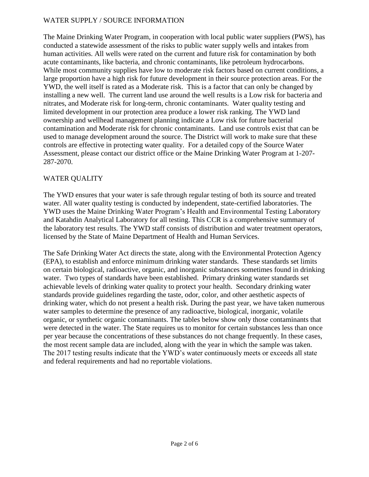#### WATER SUPPLY / SOURCE INFORMATION

The Maine Drinking Water Program, in cooperation with local public water suppliers (PWS), has conducted a statewide assessment of the risks to public water supply wells and intakes from human activities. All wells were rated on the current and future risk for contamination by both acute contaminants, like bacteria, and chronic contaminants, like petroleum hydrocarbons. While most community supplies have low to moderate risk factors based on current conditions, a large proportion have a high risk for future development in their source protection areas. For the YWD, the well itself is rated as a Moderate risk. This is a factor that can only be changed by installing a new well. The current land use around the well results is a Low risk for bacteria and nitrates, and Moderate risk for long-term, chronic contaminants. Water quality testing and limited development in our protection area produce a lower risk ranking. The YWD land ownership and wellhead management planning indicate a Low risk for future bacterial contamination and Moderate risk for chronic contaminants. Land use controls exist that can be used to manage development around the source. The District will work to make sure that these controls are effective in protecting water quality. For a detailed copy of the Source Water Assessment, please contact our district office or the Maine Drinking Water Program at 1-207- 287-2070.

### WATER QUALITY

The YWD ensures that your water is safe through regular testing of both its source and treated water. All water quality testing is conducted by independent, state-certified laboratories. The YWD uses the Maine Drinking Water Program's Health and Environmental Testing Laboratory and Katahdin Analytical Laboratory for all testing. This CCR is a comprehensive summary of the laboratory test results. The YWD staff consists of distribution and water treatment operators, licensed by the State of Maine Department of Health and Human Services.

The Safe Drinking Water Act directs the state, along with the Environmental Protection Agency (EPA), to establish and enforce minimum drinking water standards. These standards set limits on certain biological, radioactive, organic, and inorganic substances sometimes found in drinking water. Two types of standards have been established. Primary drinking water standards set achievable levels of drinking water quality to protect your health. Secondary drinking water standards provide guidelines regarding the taste, odor, color, and other aesthetic aspects of drinking water, which do not present a health risk. During the past year, we have taken numerous water samples to determine the presence of any radioactive, biological, inorganic, volatile organic, or synthetic organic contaminants. The tables below show only those contaminants that were detected in the water. The State requires us to monitor for certain substances less than once per year because the concentrations of these substances do not change frequently. In these cases, the most recent sample data are included, along with the year in which the sample was taken. The 2017 testing results indicate that the YWD's water continuously meets or exceeds all state and federal requirements and had no reportable violations.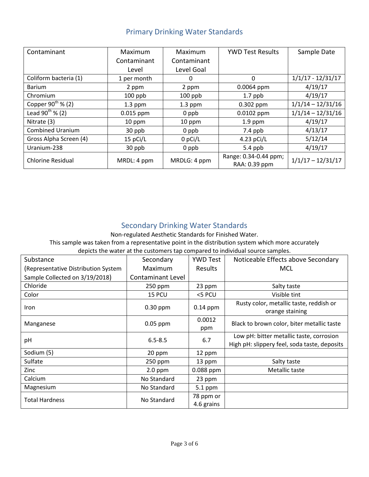| Contaminant                   | Maximum     | Maximum      | <b>YWD Test Results</b> | Sample Date         |
|-------------------------------|-------------|--------------|-------------------------|---------------------|
|                               | Contaminant | Contaminant  |                         |                     |
|                               | Level       | Level Goal   |                         |                     |
| Coliform bacteria (1)         | 1 per month | 0            | 0                       | $1/1/17 - 12/31/17$ |
| Barium                        | 2 ppm       | 2 ppm        | $0.0064$ ppm            | 4/19/17             |
| Chromium                      | $100$ ppb   | $100$ ppb    | $1.7$ ppb               | 4/19/17             |
| Copper 90 <sup>th</sup> % (2) | $1.3$ ppm   | $1.3$ ppm    | $0.302$ ppm             | $1/1/14 - 12/31/16$ |
| Lead 90 <sup>th</sup> % (2)   | $0.015$ ppm | 0 ppb        | 0.0102 ppm              | $1/1/14 - 12/31/16$ |
| Nitrate (3)                   | 10 ppm      | 10 ppm       | $1.9$ ppm               | 4/19/17             |
| <b>Combined Uranium</b>       | 30 ppb      | 0 ppb        | $7.4$ ppb               | 4/13/17             |
| Gross Alpha Screen (4)        | 15 pCi/L    | 0 pCi/L      | 4.23 pCi/L              | 5/12/14             |
| Uranium-238                   | 30 ppb      | $0$ ppb      | 5.4 ppb                 | 4/19/17             |
| <b>Chlorine Residual</b>      | MRDL: 4 ppm | MRDLG: 4 ppm | Range: 0.34-0.44 ppm;   | $1/1/17 - 12/31/17$ |
|                               |             |              | RAA: 0.39 ppm           |                     |

# Primary Drinking Water Standards

## Secondary Drinking Water Standards

Non-regulated Aesthetic Standards for Finished Water.

This sample was taken from a representative point in the distribution system which more accurately

depicts the water at the customers tap compared to individual source samples.

| Substance                           | Secondary                | <b>YWD Test</b>         | Noticeable Effects above Secondary                                                       |
|-------------------------------------|--------------------------|-------------------------|------------------------------------------------------------------------------------------|
| (Representative Distribution System | Maximum                  | <b>Results</b>          | MCL                                                                                      |
| Sample Collected on 3/19/2018)      | <b>Contaminant Level</b> |                         |                                                                                          |
| Chloride                            | $250$ ppm                | 23 ppm                  | Salty taste                                                                              |
| Color                               | 15 PCU                   | <5 PCU                  | Visible tint                                                                             |
| <b>Iron</b>                         | $0.30$ ppm               | $0.14$ ppm              | Rusty color, metallic taste, reddish or<br>orange staining                               |
| Manganese                           | $0.05$ ppm               | 0.0012<br>ppm           | Black to brown color, biter metallic taste                                               |
| pH                                  | $6.5 - 8.5$              | 6.7                     | Low pH: bitter metallic taste, corrosion<br>High pH: slippery feel, soda taste, deposits |
| Sodium (5)                          | 20 ppm                   | 12 ppm                  |                                                                                          |
| Sulfate                             | $250$ ppm                | 13 ppm                  | Salty taste                                                                              |
| Zinc                                | $2.0$ ppm                | 0.088 ppm               | Metallic taste                                                                           |
| Calcium                             | No Standard              | 23 ppm                  |                                                                                          |
| Magnesium                           | No Standard              | 5.1 ppm                 |                                                                                          |
| <b>Total Hardness</b>               | No Standard              | 78 ppm or<br>4.6 grains |                                                                                          |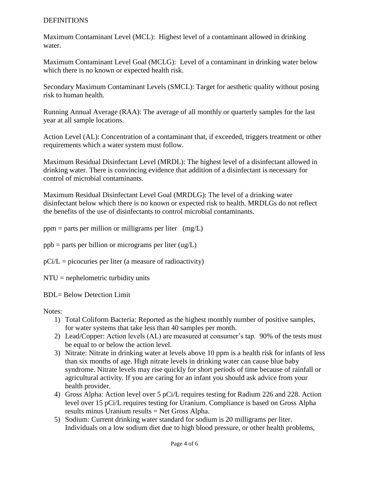#### **DEFINITIONS**

Maximum Contaminant Level (MCL): Highest level of a contaminant allowed in drinking water.

Maximum Contaminant Level Goal (MCLG): Level of a contaminant in drinking water below which there is no known or expected health risk.

Secondary Maximum Contaminant Levels (SMCL): Target for aesthetic quality without posing risk to human health.

Running Annual Average (RAA): The average of all monthly or quarterly samples for the last year at all sample locations.

Action Level (AL): Concentration of a contaminant that, if exceeded, triggers treatment or other requirements which a water system must follow.

Maximum Residual Disinfectant Level (MRDL): The highest level of a disinfectant allowed in drinking water. There is convincing evidence that addition of a disinfectant is necessary for control of microbial contaminants.

Maximum Residual Disinfectant Level Goal (MRDLG): The level of a drinking water disinfectant below which there is no known or expected risk to health. MRDLGs do not reflect the benefits of the use of disinfectants to control microbial contaminants.

 $ppm =$  parts per million or milligrams per liter (mg/L)

 $ppb =$  parts per billion or micrograms per liter (ug/L)

 $pCi/L = picocuries per liter (a measure of radioactivity)$ 

NTU = nephelometric turbidity units

BDL= Below Detection Limit

Notes:

- 1) Total Coliform Bacteria: Reported as the highest monthly number of positive samples, for water systems that take less than 40 samples per month.
- 2) Lead/Copper: Action levels (AL) are measured at consumer's tap. 90% of the tests must be equal to or below the action level.
- 3) Nitrate: Nitrate in drinking water at levels above 10 ppm is a health risk for infants of less than six months of age. High nitrate levels in drinking water can cause blue baby syndrome. Nitrate levels may rise quickly for short periods of time because of rainfall or agricultural activity. If you are caring for an infant you should ask advice from your health provider.
- 4) Gross Alpha: Action level over 5 pCi/L requires testing for Radium 226 and 228. Action level over 15 pCi/L requires testing for Uranium. Compliance is based on Gross Alpha results minus Uranium results = Net Gross Alpha.
- 5) Sodium: Current drinking water standard for sodium is 20 milligrams per liter. Individuals on a low sodium diet due to high blood pressure, or other health problems,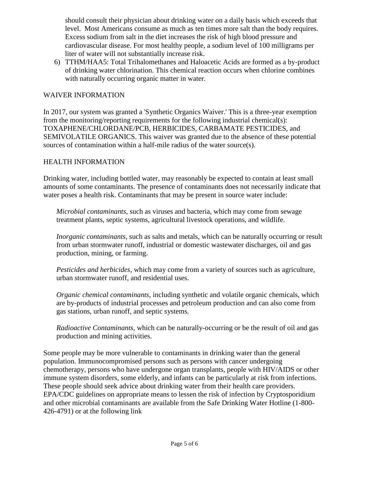should consult their physician about drinking water on a daily basis which exceeds that level. Most Americans consume as much as ten times more salt than the body requires. Excess sodium from salt in the diet increases the risk of high blood pressure and cardiovascular disease. For most healthy people, a sodium level of 100 milligrams per liter of water will not substantially increase risk.

6) TTHM/HAA5: Total Trihalomethanes and Haloacetic Acids are formed as a by-product of drinking water chlorination. This chemical reaction occurs when chlorine combines with naturally occurring organic matter in water.

#### WAIVER INFORMATION

In 2017, our system was granted a 'Synthetic Organics Waiver.' This is a three-year exemption from the monitoring/reporting requirements for the following industrial chemical(s): TOXAPHENE/CHLORDANE/PCB, HERBICIDES, CARBAMATE PESTICIDES, and SEMIVOLATILE ORGANICS. This waiver was granted due to the absence of these potential sources of contamination within a half-mile radius of the water source(s).

#### HEALTH INFORMATION

Drinking water, including bottled water, may reasonably be expected to contain at least small amounts of some contaminants. The presence of contaminants does not necessarily indicate that water poses a health risk. Contaminants that may be present in source water include:

*Microbial contaminants*, such as viruses and bacteria, which may come from sewage treatment plants, septic systems, agricultural livestock operations, and wildlife.

*Inorganic contaminants*, such as salts and metals, which can be naturally occurring or result from urban stormwater runoff, industrial or domestic wastewater discharges, oil and gas production, mining, or farming.

*Pesticides and herbicides*, which may come from a variety of sources such as agriculture, urban stormwater runoff, and residential uses.

*Organic chemical contaminants*, including synthetic and volatile organic chemicals, which are by-products of industrial processes and petroleum production and can also come from gas stations, urban runoff, and septic systems.

*Radioactive Contaminants*, which can be naturally-occurring or be the result of oil and gas production and mining activities.

Some people may be more vulnerable to contaminants in drinking water than the general population. Immunocompromised persons such as persons with cancer undergoing chemotherapy, persons who have undergone organ transplants, people with HIV/AIDS or other immune system disorders, some elderly, and infants can be particularly at risk from infections. These people should seek advice about drinking water from their health care providers. EPA/CDC guidelines on appropriate means to lessen the risk of infection by Cryptosporidium and other microbial contaminants are available from the Safe Drinking Water Hotline (1-800- 426-4791) or at the following link